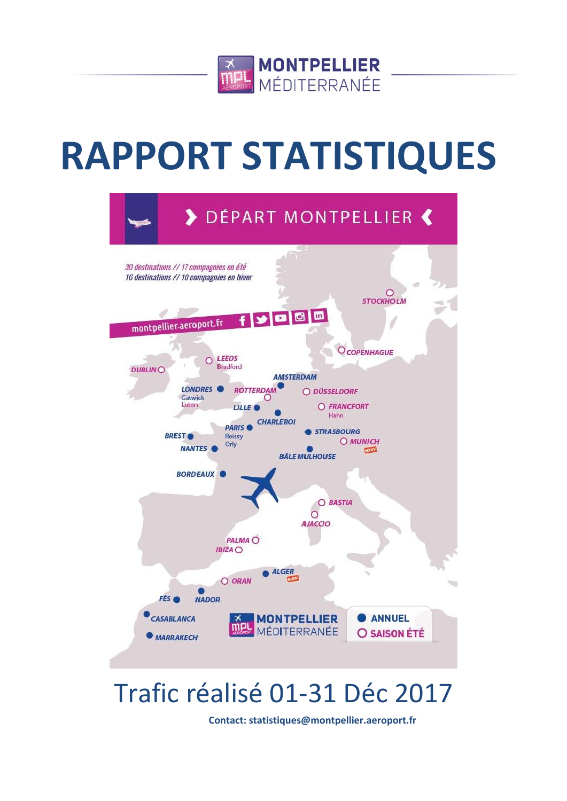

# **RAPPORT STATISTIQUES**



# Trafic réalisé 01-31 Déc 2017

**Contact: statistiques@montpellier.aeroport.fr**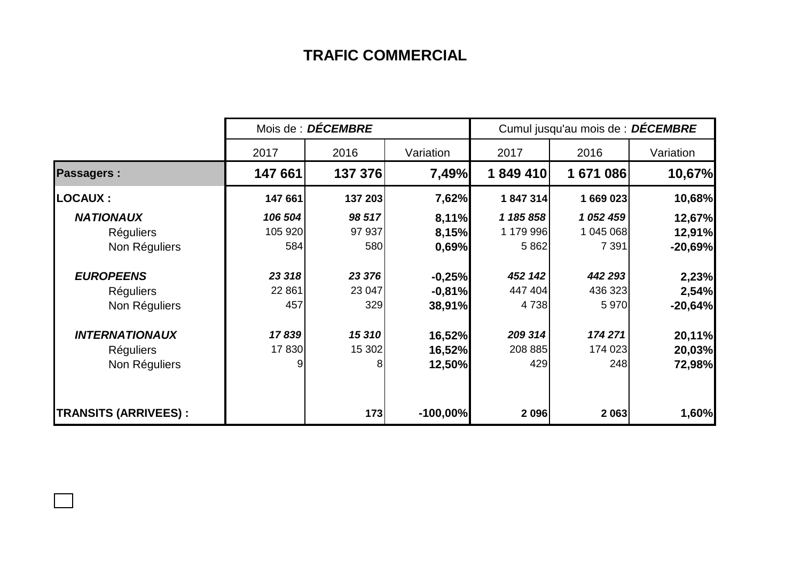## **TRAFIC COMMERCIAL**

|                             | Mois de : DÉCEMBRE |         |            | Cumul jusqu'au mois de : DÉCEMBRE |           |           |  |
|-----------------------------|--------------------|---------|------------|-----------------------------------|-----------|-----------|--|
|                             | 2017               | 2016    | Variation  | 2017                              | 2016      | Variation |  |
| <b>Passagers:</b>           | 147 661            | 137 376 | 7,49%      | 1849410                           | 1671086   | 10,67%    |  |
| <b>LOCAUX:</b>              | 147 661            | 137 203 | 7,62%      | 1847314                           | 1 669 023 | 10,68%    |  |
| <b>NATIONAUX</b>            | 106 504            | 98 517  | 8,11%      | 1 185 858                         | 1 052 459 | 12,67%    |  |
| <b>Réguliers</b>            | 105 920            | 97 937  | 8,15%      | 1 179 996                         | 1 045 068 | 12,91%    |  |
| Non Réguliers               | 584                | 580     | 0,69%      | 5 8 6 2                           | 7 3 9 1   | $-20,69%$ |  |
| <b>EUROPEENS</b>            | 23 318             | 23 376  | $-0,25%$   | 452 142                           | 442 293   | 2,23%     |  |
| <b>Réguliers</b>            | 22 861             | 23 047  | $-0,81%$   | 447 404                           | 436 323   | 2,54%     |  |
| Non Réguliers               | 457                | 329     | 38,91%     | 4 7 38                            | 5 9 7 0   | $-20,64%$ |  |
| <b>INTERNATIONAUX</b>       | 17839              | 15 310  | 16,52%     | 209 314                           | 174 271   | 20,11%    |  |
| <b>Réguliers</b>            | 17830              | 15 302  | 16,52%     | 208 885                           | 174 023   | 20,03%    |  |
| Non Réguliers               | 9                  | 8       | 12,50%     | 429                               | 248       | 72,98%    |  |
| <b>TRANSITS (ARRIVEES):</b> |                    | 173     | $-100,00%$ | 2 0 9 6                           | 2 0 6 3   | 1,60%     |  |

 $\Box$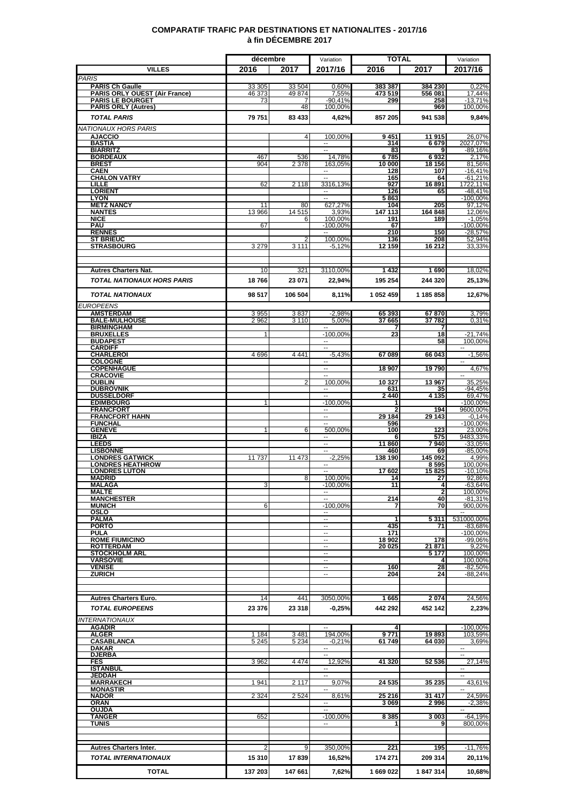### **COMPARATIF TRAFIC PAR DESTINATIONS ET NATIONALITES - 2017/16 à fin DÉCEMBRE 2017**

|                                                                |                    | décembre        |                                      | TOTAL              |                         | Variation                           |
|----------------------------------------------------------------|--------------------|-----------------|--------------------------------------|--------------------|-------------------------|-------------------------------------|
| <b>VILLES</b>                                                  | 2016               | 2017            | 2017/16                              | 2016               | 2017                    | 2017/16                             |
| <b>PARIS</b>                                                   |                    |                 |                                      |                    |                         |                                     |
| <b>PARIS Ch Gaulle</b><br><b>PARIS ORLY OUEST (Air France)</b> | 33 305<br>46 373   | 33 504<br>49874 | 0,60%<br>7,55%                       | 383 387<br>473 519 | 384 230<br>556 081      | 0,22%<br>17.44%                     |
| <b>PARIS LE BOURGET</b>                                        | 73                 | 7               | $-90,41%$                            | 299                | 258                     | $-13,71%$                           |
| <b>PARIS ORLY (Autres)</b>                                     |                    | 48              | 100,00%                              |                    | 969                     | 100,00%                             |
| <b>TOTAL PARIS</b>                                             | 79 751             | 83 433          | 4,62%                                | 857 205            | 941 538                 | 9,84%                               |
| NATIONAUX HORS PARIS                                           |                    |                 |                                      |                    |                         |                                     |
| <b>AJACCIO</b><br><b>BASTIA</b>                                |                    | $\overline{4}$  | 100,00%                              | 9451<br>314        | 11 915<br>6679          | 26,07%<br>2027,07%                  |
| <b>BIARRITZ</b>                                                |                    |                 |                                      | 83                 |                         | $-89,16%$                           |
| <b>BORDEAUX</b><br><b>BREST</b>                                | 467<br>904         | 536<br>2 3 7 8  | 14,78%<br>163,05%                    | 6785<br>10 000     | 6932<br>18 15 6         | 2,17%<br>81,56%                     |
| CAEN                                                           |                    |                 | $\sim$                               | 128                | 107                     | $-16,41%$                           |
| <b>CHALON VATRY</b>                                            |                    |                 | $\sim$                               | 165                | 64                      | $-61,21%$                           |
| LILLE<br><b>LORIENT</b>                                        | 62                 | 2 1 1 8         | 3316,13%<br>$\overline{\phantom{a}}$ | 927<br>126         | 16 891<br>65            | 1722,11%<br>-48,41%                 |
| <b>LYON</b>                                                    |                    |                 | $\sim$                               | 5863               |                         | $-100,00%$                          |
| <b>METZ NANCY</b><br><b>NANTES</b>                             | 11<br>13 966       | 80<br>14 515    | 627,27%<br>3,93%                     | 104<br>147 113     | 205<br>164 848          | 97,12%<br>12,06%                    |
| <b>NICE</b>                                                    |                    | 6               | 100,00%                              | 191                | 189                     | $-1,05%$                            |
| PAU<br><b>RENNES</b>                                           | 67                 |                 | $-100.00\%$                          | 67                 |                         | $-100,00%$                          |
| <b>ST BRIEUC</b>                                               |                    | 2               | 100.00%                              | 210<br>136         | 150<br>208              | $-28,57%$<br>52,94%                 |
| <b>STRASBOURG</b>                                              | 3 2 7 9            | 3 1 1 1         | $-5,12%$                             | 12 159             | 16 212                  | 33,33%                              |
|                                                                |                    |                 |                                      |                    |                         |                                     |
| <b>Autres Charters Nat.</b>                                    | 10                 | 321             | 3110.00%                             | 1432               | 1690                    | 18,02%                              |
| <b>TOTAL NATIONAUX HORS PARIS</b>                              | 18766              | 23 071          |                                      | 195 254            | 244 320                 |                                     |
|                                                                |                    |                 | 22,94%                               |                    |                         | 25,13%                              |
| <b>TOTAL NATIONAUX</b>                                         | 98 517             | 106 504         | 8,11%                                | 1 052 459          | 1 185 858               | 12,67%                              |
| <b>EUROPEENS</b>                                               |                    |                 |                                      |                    |                         |                                     |
| <b>AMSTERDAM</b>                                               | 3955<br>2962       | 3837            | $-2,98%$                             | 65 393             | 67870                   | 3,79%                               |
| <b>BALE-MULHOUSE</b><br><b>BIRMINGHAM</b>                      |                    | 3 1 1 0         | 5,00%                                | 37 665<br>7        | 37782                   | 0,31%                               |
| <b>BRUXELLES</b>                                               | 1                  |                 | $-100,00%$                           | 23                 | 18                      | $-21,74%$                           |
| <b>BUDAPEST</b><br><b>CARDIFF</b>                              |                    |                 | $\sim$<br>μ.                         |                    | 58                      | 100,00%<br>$\overline{\phantom{a}}$ |
| <b>CHARLEROI</b>                                               | 4696               | 4 4 4 1         | $-5,43%$                             | 67089              | 66 043                  | $-1,56%$                            |
| <b>COLOGNE</b><br><b>COPENHAGUE</b>                            |                    |                 | $\sim$                               | 18 907             | 19790                   | 4,67%                               |
| <b>CRACOVIE</b>                                                |                    |                 |                                      |                    |                         |                                     |
| <b>DUBLIN</b>                                                  |                    | 2               | 100,00%                              | 10 327             | 13 967                  | 35,25%                              |
| <b>DUBROVNIK</b><br><b>DUSSELDORF</b>                          |                    |                 |                                      | 631<br>2440        | 35<br>$4\overline{135}$ | -94,45%<br>69,47%                   |
| <b>EDIMBOURG</b>                                               | 1                  |                 | $-100,00%$                           | 1                  |                         | $-100,00%$                          |
| <b>FRANCFORT</b><br><b>FRANCFORT HAHN</b>                      |                    |                 | н.                                   | 2<br>29 184        | 194<br>29 143           | 9600,00%<br>$-0.14%$                |
| <b>FUNCHAL</b>                                                 |                    |                 | ÷.                                   | 596                |                         | $-100,00%$                          |
| <b>GENEVE</b>                                                  | 1                  | 6               | 500,00%                              | 100                | 123                     | 23.00%                              |
| <b>IBIZA</b><br><b>LEEDS</b>                                   |                    |                 | $\sim$<br>--                         | 6<br>11860         | 575<br>7940             | 9483,33%<br>$-33.05%$               |
| <b>LISBONNE</b>                                                |                    |                 | $\mathbf{L}$                         | 460                | 69                      | $-85,00%$                           |
| <b>LONDRES GATWICK</b><br><b>LONDRES HEATHROW</b>              | 11737              | 11 473          | $-2,25%$                             | 138 190            | 145 092<br>8595         | 4,99%<br>100,00%                    |
| <b>LONDRES LUTON</b>                                           |                    |                 | $\sim$ $\sim$                        | 17 602             | 15825                   | $-10,10%$                           |
| <b>MADRID</b>                                                  |                    | 8               | 100,00%                              | 14                 | 27                      | 92,86%<br>$-63.64%$                 |
| <b>MALAGA</b><br><b>MALTE</b>                                  | 3                  |                 | $-100,00%$                           | 11                 | 4<br>$\overline{2}$     | 100.00%                             |
| <b>MANCHESTER</b>                                              |                    |                 |                                      | 214                | 40                      | $-81,31%$                           |
| <b>MUNICH</b><br><b>OSLO</b>                                   | 6                  |                 | $-100.00\%$                          | 7                  | 70                      | 900.00%                             |
| <b>PALMA</b>                                                   |                    |                 | н.                                   | 1                  | 5311                    | 531000,00%                          |
| <b>PORTO</b><br><b>PULA</b>                                    |                    |                 | $\mathbf{L}$<br>$\overline{a}$       | 435<br>171         | 71                      | $-83,68%$<br>$-100,00%$             |
| <b>ROME FIUMICINO</b>                                          |                    |                 | $\sim$                               | 18 902             | 178                     | $-99,06%$                           |
| <b>ROTTERDAM</b><br><b>STOCKHOLM ARL</b>                       |                    |                 | н.<br>$\sim$                         | 20 025             | 21 871<br>5 177         | 9,22%<br>100,00%                    |
| <b>VARSOVIE</b>                                                |                    |                 | $\mathbf{L}$                         |                    | 4                       | 100,00%                             |
| <b>VENISE</b>                                                  |                    |                 | $\sim$                               | 160                | 28                      | $-82,50%$                           |
| <b>ZURICH</b>                                                  |                    |                 | $\sim$                               | 204                | 24                      | $-88,24%$                           |
|                                                                |                    |                 |                                      |                    |                         |                                     |
| <b>Autres Charters Euro.</b>                                   | 14                 | 441             | 3050,00%                             | 1665               | 2074                    | 24,56%                              |
| <b>TOTAL EUROPEENS</b>                                         | 23 376             | 23 318          | $-0,25%$                             | 442 292            | 452 142                 | 2,23%                               |
| <i>INTERNATIONAUX</i>                                          |                    |                 |                                      |                    |                         |                                     |
| <b>AGADIR</b>                                                  |                    |                 | $\sim$ $\sim$                        | 4                  |                         | $-100,00%$                          |
| <b>ALGER</b><br><b>CASABLANCA</b>                              | 1 1 8 4<br>5 2 4 5 | 3481<br>5 2 3 4 | 194,00%<br>$-0,21%$                  | 9771<br>61 749     | 19893<br>64 030         | 103,59%<br>3,69%                    |
| <b>DAKAR</b>                                                   |                    |                 | $\sim$                               |                    |                         | $\sim$                              |
| <b>DJERBA</b>                                                  |                    |                 |                                      |                    |                         |                                     |
| FES<br><b>ISTANBUL</b>                                         | 3962               | 4 4 7 4         | 12.92%                               | 41 320             | 52 536                  | 27,14%                              |
| JEDDAH                                                         |                    |                 |                                      |                    |                         |                                     |
| <b>MARRAKECH</b><br><b>MONASTIR</b>                            | 1941               | 2 1 1 7         | 9,07%                                | 24 535             | 35 235                  | 43,61%                              |
| <b>NADOR</b>                                                   | 2 3 2 4            | 2 5 2 4         | 8,61%                                | 25 216             | 31 417                  | 24,59%                              |
| <b>ORAN</b>                                                    |                    |                 |                                      | 3 0 6 9            | 2996                    | $-2,38%$                            |
| <b>OUJDA</b><br><b>TANGER</b>                                  | 652                |                 | $-100,00%$                           | 8 3 8 5            | 3 003                   | $-64,19%$                           |
| <b>TUNIS</b>                                                   |                    |                 | $\overline{a}$                       |                    | q                       | 800,00%                             |
|                                                                |                    |                 |                                      |                    |                         |                                     |
| <b>Autres Charters Inter.</b>                                  | 2                  | 9               | 350,00%                              | 221                | 195                     | $-11,76%$                           |
| <b>TOTAL INTERNATIONAUX</b>                                    | 15 310             | 17839           | 16,52%                               | 174 271            | 209 314                 | 20,11%                              |
|                                                                |                    |                 |                                      |                    |                         |                                     |
| <b>TOTAL</b>                                                   | 137 203            | 147 661         | 7,62%                                | 1669022            | 1847314                 | 10,68%                              |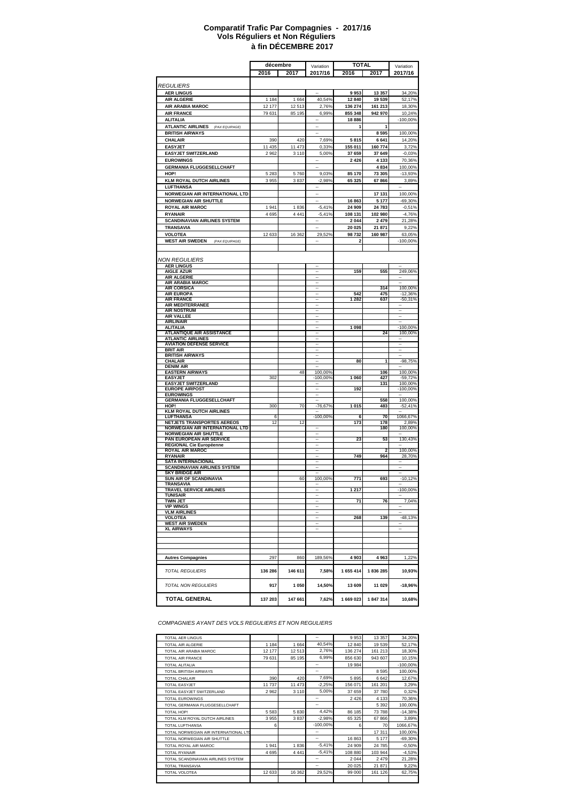#### **à fin DÉCEMBRE 2017 Comparatif Trafic Par Compagnies - 2017/16 Vols Réguliers et Non Réguliers**

|                                                               | décembre |                 | Variation                | <b>TOTAL</b>     |                    | Variation            |
|---------------------------------------------------------------|----------|-----------------|--------------------------|------------------|--------------------|----------------------|
|                                                               | 2016     | 2017            | 2017/16                  | 2016             | 2017               | 2017/16              |
|                                                               |          |                 |                          |                  |                    |                      |
| <b>REGULIERS</b>                                              |          |                 |                          |                  |                    |                      |
| <b>AER LINGUS</b>                                             |          |                 |                          | 9953             | 13 357             | 34,20%               |
| <b>AIR ALGERIE</b>                                            | 1 1 8 4  | 1 6 6 4         | 40,54%                   | 12 840           | 19 539             | 52,17%               |
| AIR ARABIA MAROC                                              | 12 177   | 12513<br>85 195 | 2,76%                    | 136 274          | 161 213<br>942 970 | 18,30%               |
| <b>AIR FRANCE</b><br><b>ALITALIA</b>                          | 79 631   |                 | 6,99%                    | 855 348<br>18886 |                    | 10,24%<br>$-100,00%$ |
| <b>ATLANTIC AIRLINES</b><br>(PAX EQUIPAGE)                    |          |                 | ÷,                       | 1                | 1                  |                      |
| <b>BRITISH AIRWAYS</b>                                        |          |                 |                          |                  | 8595               | 100,00%              |
| CHALAIR                                                       | 390      | 420             | 7,69%                    | 5815             | 6 6 4 1            | 14,20%               |
| <b>EASYJET</b>                                                | 11 435   | 11 473          | 0,33%                    | 155 011          | 160774             | 3,72%                |
| <b>EASYJET SWITZERLAND</b>                                    | 2962     | 3 1 1 0         | 5,00%                    | 37 659           | 37 649             | $-0,03%$             |
| <b>EUROWINGS</b>                                              |          |                 | --                       | 2 4 2 6          | 4 1 3 3            | 70,36%               |
| <b>GERMANIA FLUGGESELLCHAFT</b>                               |          |                 |                          |                  | 4834               | 100,00%              |
| HOP!                                                          | 5 2 8 3  | 5760            | 9.03%                    | 85 170           | 73 305             | $-13,93%$            |
| <b>KLM ROYAL DUTCH AIRLINES</b>                               | 3955     | 3837            | $-2,98%$                 | 65 325           | 67866              | 3,89%                |
| LUFTHANSA                                                     |          |                 |                          |                  |                    |                      |
| NORWEGIAN AIR INTERNATIONAL LTD                               |          |                 |                          |                  | 17 131             | 100,00%              |
| <b>NORWEGIAN AIR SHUTTLE</b>                                  |          |                 | $\overline{\phantom{a}}$ | 16863            | 5 1 7 7            | $-69,30%$            |
| ROYAL AIR MAROC                                               | 1941     | 1836            | $-5,41%$                 | 24 909           | 24 783             | $-0,51%$             |
| <b>RYANAIR</b>                                                | 4 6 9 5  | 4 4 4 1         | $-5,41%$                 | 108 131          | 102 980            | $-4,76%$             |
| <b>SCANDINAVIAN AIRLINES SYSTEM</b>                           |          |                 | ÷.                       | 2 0 4 4          | 2 4 7 9            | 21,28%               |
| TRANSAVIA                                                     |          |                 |                          | 20 025           | 21 871             | 9,22%                |
| VOLOTEA                                                       | 12 633   | 16 362          | 29,52%                   | 98732            | 160 987            | 63,05%               |
| <b>WEST AIR SWEDEN</b><br>(PAX EQUIPAGE)                      |          |                 |                          | 2                |                    | $-100,00%$           |
|                                                               |          |                 |                          |                  |                    |                      |
| <b>NON REGULIERS</b>                                          |          |                 |                          |                  |                    |                      |
| <b>AER LINGUS</b>                                             |          |                 | --                       |                  |                    |                      |
| <b>AIGLE AZUR</b>                                             |          |                 | --                       | 159              | 555                | 249,06%              |
| <b>AIR ALGERIE</b>                                            |          |                 |                          |                  |                    | ٠.                   |
| AIR ARABIA MAROC<br><b>AIR CORSICA</b>                        |          |                 | ↔<br>$\frac{1}{2}$       |                  | 314                | 100,00%              |
| <b>AIR EUROPA</b>                                             |          |                 |                          | 542              | 475                | $-12,36%$            |
| <b>AIR FRANCE</b>                                             |          |                 |                          | 1 2 8 2          | 637                | $-50,31%$            |
| <b>AIR MEDITERRANEE</b>                                       |          |                 |                          |                  |                    |                      |
| <b>AIR NOSTRUM</b><br><b>AIR VALLEE</b>                       |          |                 |                          |                  |                    |                      |
| <b>AIRLINAIR</b>                                              |          |                 |                          |                  |                    |                      |
| ALITALIA                                                      |          |                 |                          | 1098             |                    | $-100,00%$           |
| <b>ATLANTIQUE AIR ASSISTANCE</b>                              |          |                 |                          |                  | 24                 | 100,00%              |
| <b>ATLANTIC AIRLINES</b><br><b>AVIATION DEFENSE SERVICE</b>   |          |                 |                          |                  |                    |                      |
| <b>BRIT AIR</b>                                               |          |                 |                          |                  |                    |                      |
| <b>BRITISH AIRWAYS</b>                                        |          |                 |                          |                  |                    |                      |
| <b>CHALAIR</b>                                                |          |                 |                          | 80               | 1                  | $-98,75%$            |
| <b>DENIM AIR</b><br><b>EASTERN AIRWAYS</b>                    |          | 48              | 100,00%                  |                  | 106                | 100,00%              |
| <b>EASYJET</b>                                                | 302      |                 | $-100,00%$               | 1 0 6 0          | 427                | $-59,72%$            |
| <b>EASYJET SWITZERLAND</b>                                    |          |                 |                          |                  | 131                | 100,00%              |
| <b>EUROPE AIRPOST</b>                                         |          |                 |                          | 192              |                    | $-100,00%$           |
| <b>EUROWINGS</b><br><b>GERMANIA FLUGGESELLCHAFT</b>           |          |                 | $\overline{\phantom{a}}$ |                  | 558                | 100,00%              |
| HOP!                                                          | 300      | 70              | $-76,67%$                | 1 0 1 5          | 483                | $-52,41%$            |
| <b>KLM ROYAL DUTCH AIRLINES</b>                               |          |                 |                          |                  |                    |                      |
| <b>LUFTHANSA</b>                                              | 6        |                 | $-100,00%$               | 6                | 70                 | 1066,67%             |
| NETJETS TRANSPORTES AEREOS<br>NORWEGIAN AIR INTERNATIONAL LTD | 12       | 12              | --                       | 173              | 178<br>180         | 2,89%<br>100,00%     |
| <b>NORWEGIAN AIR SHUTTLE</b>                                  |          |                 |                          |                  |                    |                      |
| PAN EUROPEAN AIR SERVICE                                      |          |                 |                          | 23               | 53                 | 130,43%              |
| <b>REGIONAL Cie Européenne</b>                                |          |                 |                          |                  |                    |                      |
| <b>ROYAL AIR MAROC</b><br><b>RYANAIR</b>                      |          |                 |                          | 749              | 964                | 100,00%<br>28,70%    |
| <b>SATA INTERNACIONAL</b>                                     |          |                 |                          |                  |                    |                      |
| <b>SCANDINAVIAN AIRLINES SYSTEM</b>                           |          |                 |                          |                  |                    |                      |
| <b>SKY BRIDGE AIR</b>                                         |          |                 |                          |                  |                    |                      |
| SUN AIR OF SCANDINAVIA<br>TRANSAVIA                           |          | 60              | 100,00%                  | 771              | 693                | $-10,12%$            |
| <b>TRAVEL SERVICE AIRLINES</b>                                |          |                 |                          | 1 217            |                    | $-100,00%$           |
| <b>TUNISAIR</b>                                               |          |                 |                          |                  |                    |                      |
| <b>TWIN JET</b>                                               |          |                 |                          | $\overline{71}$  | 76                 | 7,04%                |
| <b>VIP WINGS</b><br><b>VLM AIRLINES</b>                       |          |                 | L.                       |                  |                    |                      |
| <b>VOLOTEA</b>                                                |          |                 | ä,                       | 268              | 139                | $-48,13%$            |
| <b>WEST AIR SWEDEN</b>                                        |          |                 | $\ddot{\phantom{a}}$     |                  |                    |                      |
| <b>XL AIRWAYS</b>                                             |          |                 | $\overline{\phantom{a}}$ |                  |                    |                      |
|                                                               |          |                 |                          |                  |                    |                      |
|                                                               |          |                 |                          |                  |                    |                      |
|                                                               |          |                 |                          |                  |                    |                      |
| <b>Autres Compagnies</b>                                      | 297      | 860             | 189,56%                  | 4 9 0 3          | 4 9 6 3            | 1,22%                |
|                                                               |          |                 |                          |                  |                    |                      |
| <b>TOTAL REGULIERS</b>                                        | 136 286  | 146 611         | 7,58%                    | 1 655 414        | 1836285            | 10,93%               |
|                                                               |          |                 |                          |                  |                    |                      |
| TOTAL NON REGULIERS                                           | 917      | 1 050           | 14,50%                   | 13 609           | 11 029             | $-18,96%$            |
|                                                               |          |                 |                          |                  |                    |                      |
| <b>TOTAL GENERAL</b>                                          | 137 203  | 147 661         | 7,62%                    | 1 669 023        | 1847314            | 10,68%               |
|                                                               |          |                 |                          |                  |                    |                      |

*COMPAGNIES AYANT DES VOLS REGULIERS ET NON REGULIERS*

| <b>TOTAL AER LINGUS</b>               |         |         | $\overline{\phantom{a}}$ | 9953    | 13 3 5 7 | 34,20%     |
|---------------------------------------|---------|---------|--------------------------|---------|----------|------------|
| <b>TOTAL AIR ALGERIE</b>              | 1 1 8 4 | 1664    | 40,54%                   | 12 840  | 19 539   | 52,17%     |
| TOTAL AIR ARABIA MAROC                | 12 177  | 12513   | 2,76%                    | 136 274 | 161 213  | 18,30%     |
| <b>TOTAL AIR FRANCE</b>               | 79 631  | 85 195  | 6.99%                    | 856 630 | 943 607  | 10,15%     |
| <b>TOTAL ALITALIA</b>                 |         |         | --                       | 19 984  |          | $-100,00%$ |
| <b>TOTAL BRITISH AIRWAYS</b>          |         |         | --                       |         | 8 5 9 5  | 100,00%    |
| <b>TOTAL CHALAIR</b>                  | 390     | 420     | 7,69%                    | 5895    | 6642     | 12,67%     |
| <b>TOTAL EASYJET</b>                  | 11 737  | 11 473  | $-2,25%$                 | 156 071 | 161 201  | 3,29%      |
| TOTAL EASYJET SWITZERLAND             | 2962    | 3 1 1 0 | 5,00%                    | 37 659  | 37 780   | 0,32%      |
| <b>TOTAL EUROWINGS</b>                |         |         | --                       | 2 4 2 6 | 4 1 3 3  | 70,36%     |
| TOTAL GERMANIA FLUGGESELLCHAFT        |         |         | $\overline{\phantom{a}}$ |         | 5 3 9 2  | 100,00%    |
| TOTAL HOP!                            | 5 5 8 3 | 5830    | 4,42%                    | 86 185  | 73 788   | $-14,38%$  |
| TOTAL KLM ROYAL DUTCH AIRLINES        | 3955    | 3837    | $-2.98%$                 | 65 325  | 67 866   | 3,89%      |
| <b>TOTAL LUFTHANSA</b>                | 6       |         | $-100.00\%$              | 6       | 70       | 1066,67%   |
| TOTAL NORWEGIAN AIR INTERNATIONAL LTD |         |         | --                       |         | 17311    | 100,00%    |
| TOTAL NORWEGIAN AIR SHUTTLE           |         |         | ۰.                       | 16 863  | 5 1 7 7  | $-69,30%$  |
| TOTAL ROYAL AIR MAROC                 | 1941    | 1836    | $-5,41%$                 | 24 909  | 24 785   | $-0,50%$   |
| <b>TOTAL RYANAIR</b>                  | 4 6 9 5 | 4 4 4 1 | $-5,41%$                 | 108 880 | 103 944  | $-4,53%$   |
| TOTAL SCANDINAVIAN AIRLINES SYSTEM    |         |         | ۰.                       | 2 0 4 4 | 2479     | 21,28%     |
| <b>TOTAL TRANSAVIA</b>                |         |         | --                       | 20 0 25 | 21 871   | 9,22%      |
| <b>TOTAL VOLOTEA</b>                  | 12 633  | 16 362  | 29,52%                   | 99 000  | 161 126  | 62,75%     |
|                                       |         |         |                          |         |          |            |